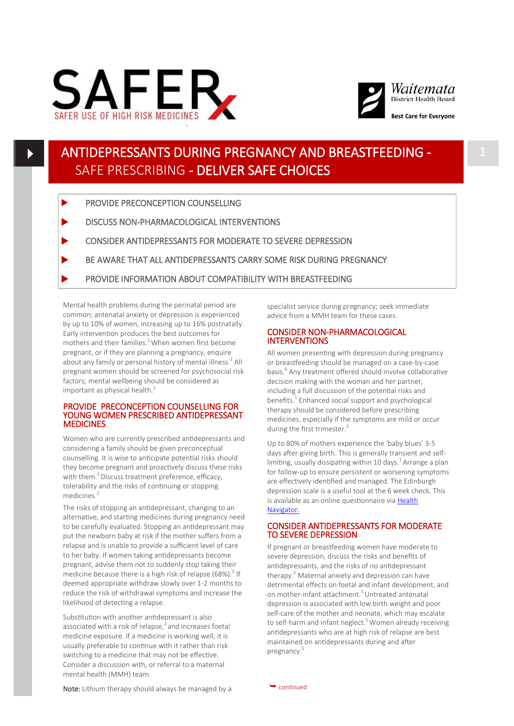



**Best Care for Evervone** 

# ANTIDEPRESSANTS DURING PREGNANCY AND BREASTFEEDING - SAFE PRESCRIBING - DELIVER SAFE CHOICES

- PROVIDE PRECONCEPTION COUNSELLING
- DISCUSS NON-PHARMACOLOGICAL INTERVENTIONS
- CONSIDER ANTIDEPRESSANTS FOR MODERATE TO SEVERE DEPRESSION
- BE AWARE THAT ALL ANTIDEPRESSANTS CARRY SOME RISK DURING PREGNANCY
- PROVIDE INFORMATION ABOUT COMPATIBILITY WITH BREASTFEEDING

Mental health problems during the perinatal period are common; antenatal anxiety or depression is experienced by up to 10% of women, increasing up to 16% postnatally. Early intervention produces the best outcomes for mothers and their families.<sup>1</sup> When women first become pregnant, or if they are planning a pregnancy, enquire about any family or personal history of mental illness.<sup>2</sup> All pregnant women should be screened for psychosocial risk factors; mental wellbeing should be considered as important as physical health. $1$ 

### PROVIDE PRECONCEPTION COUNSELLING FOR YOUNG WOMEN PRESCRIBED ANTIDEPRESSANT **MEDICINES**

Women who are currently prescribed antidepressants and considering a family should be given preconceptual counselling. It is wise to anticipate potential risks should they become pregnant and proactively discuss these risks with them.<sup>2</sup> Discuss treatment preference, efficacy, tolerability and the risks of continuing or stopping medicines.<sup>2</sup>

The risks of stopping an antidepressant, changing to an alternative, and starting medicines during pregnancy need to be carefully evaluated. Stopping an antidepressant may put the newborn baby at risk if the mother suffers from a relapse and is unable to provide a sufficient level of care to her baby. If women taking antidepressants become pregnant, advise them not to suddenly stop taking their medicine because there is a high risk of relapse (68%).<sup>3</sup> If deemed appropriate withdraw slowly over 1-2 months to reduce the risk of withdrawal symptoms and increase the likelihood of detecting a relapse.

Substitution with another antidepressant is also associated with a risk of relapse, $^2$  and increases foetal medicine exposure. If a medicine is working well, it is usually preferable to continue with it rather than risk switching to a medicine that may not be effective. Consider a discussion with, or referral to a maternal mental health (MMH) team.

specialist service during pregnancy; seek immediate advice from a MMH team for these cases.

## CONSIDER NON-PHARMACOLOGICAL INTERVENTIONS

All women presenting with depression during pregnancy or breastfeeding should be managed on a case-by-case basis.<sup>4</sup> Any treatment offered should involve collaborative decision making with the woman and her partner, including a full discussion of the potential risks and benefits.<sup>1</sup> Enhanced social support and psychological therapy should be considered before prescribing medicines, especially if the symptoms are mild or occur during the first trimester.<sup>2</sup>

Up to 80% of mothers experience the 'baby blues' 3-5 days after giving birth. This is generally transient and selflimiting, usually dissipating within 10 days.<sup>1</sup> Arrange a plan for follow-up to ensure persistent or worsening symptoms are effectively identified and managed. The Edinburgh depression scale is a useful tool at the 6 week check. This is available as an online questionnaire via [Health](https://www.healthnavigator.org.nz/tools/e/edinburgh-postnatal-depression-scale/#Overview)  [Navigator.](https://www.healthnavigator.org.nz/tools/e/edinburgh-postnatal-depression-scale/#Overview)

## CONSIDER ANTIDEPRESSANTS FOR MODERATE TO SEVERE DEPRESSION

If pregnant or breastfeeding women have moderate to severe depression, discuss the risks and benefits of antidepressants, and the risks of no antidepressant therapy.<sup>2</sup> Maternal anxiety and depression can have detrimental effects on foetal and infant development, and on mother-infant attachment.<sup>1</sup> Untreated antenatal depression is associated with low birth weight and poor self-care of the mother and neonate, which may escalate to self-harm and infant neglect.<sup>5</sup> Women already receiving antidepressants who are at high risk of relapse are best maintained on antidepressants during and after pregnancy.<sup>5</sup>

Note: Lithium therapy should always be managed by a

 $\rightarrow$  continued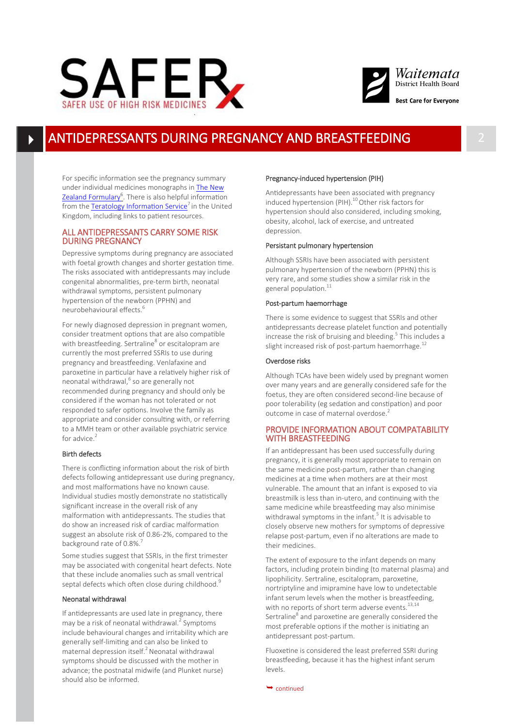



## ANTIDEPRESSANTS DURING PREGNANCY AND BREASTFEEDING 2

For specific information see the pregnancy summary under individual medicines monographs in [The New](http://www.nzf.org.nz/)  [Zealand Formulary](http://www.nzf.org.nz/)<sup>6</sup>. There is also helpful information from the [Teratology Information Service](http://www.uktis.org/)<sup>7</sup> in the United Kingdom, including links to patient resources.

## ALL ANTIDEPRESSANTS CARRY SOME RISK DURING PREGNANCY

Depressive symptoms during pregnancy are associated with foetal growth changes and shorter gestation time. The risks associated with antidepressants may include congenital abnormalities, pre-term birth, neonatal withdrawal symptoms, persistent pulmonary hypertension of the newborn (PPHN) and neurobehavioural effects.<sup>6</sup>

For newly diagnosed depression in pregnant women, consider treatment options that are also compatible with breastfeeding. Sertraline<sup>8</sup> or escitalopram are currently the most preferred SSRIs to use during pregnancy and breastfeeding. Venlafaxine and paroxetine in particular have a relatively higher risk of neonatal withdrawal,<sup>6</sup> so are generally not recommended during pregnancy and should only be considered if the woman has not tolerated or not responded to safer options. Involve the family as appropriate and consider consulting with, or referring to a MMH team or other available psychiatric service for advice  $2$ 

### Birth defects

There is conflicting information about the risk of birth defects following antidepressant use during pregnancy, and most malformations have no known cause. Individual studies mostly demonstrate no statistically significant increase in the overall risk of any malformation with antidepressants. The studies that do show an increased risk of cardiac malformation suggest an absolute risk of 0.86-2%, compared to the background rate of 0.8%.<sup>7</sup>

Some studies suggest that SSRIs, in the first trimester may be associated with congenital heart defects. Note that these include anomalies such as small ventrical septal defects which often close during childhood.<sup>9</sup>

## Neonatal withdrawal

If antidepressants are used late in pregnancy, there may be a risk of neonatal withdrawal.<sup>2</sup> Symptoms include behavioural changes and irritability which are generally self-limiting and can also be linked to maternal depression itself.<sup>2</sup> Neonatal withdrawal symptoms should be discussed with the mother in advance; the postnatal midwife (and Plunket nurse) should also be informed.

#### Pregnancy-induced hypertension (PIH)

Antidepressants have been associated with pregnancy induced hypertension (PIH).<sup>10</sup> Other risk factors for hypertension should also considered, including smoking, obesity, alcohol, lack of exercise, and untreated depression.

### Persistant pulmonary hypertension

Although SSRIs have been associated with persistent pulmonary hypertension of the newborn (PPHN) this is very rare, and some studies show a similar risk in the general population. $11$ 

#### Post-partum haemorrhage

There is some evidence to suggest that SSRIs and other antidepressants decrease platelet function and potentially increase the risk of bruising and bleeding.<sup>5</sup> This includes a slight increased risk of post-partum haemorrhage.<sup>12</sup>

### Overdose risks

Although TCAs have been widely used by pregnant women over many years and are generally considered safe for the foetus, they are often considered second-line because of poor tolerability (eg sedation and constipation) and poor outcome in case of maternal overdose.<sup>2</sup>

## PROVIDE INFORMATION ABOUT COMPATABILITY WITH BREASTFEEDING

If an antidepressant has been used successfully during pregnancy, it is generally most appropriate to remain on the same medicine post-partum, rather than changing medicines at a time when mothers are at their most vulnerable. The amount that an infant is exposed to via breastmilk is less than in-utero, and continuing with the same medicine while breastfeeding may also minimise withdrawal symptoms in the infant.<sup>5</sup> It is advisable to closely observe new mothers for symptoms of depressive relapse post-partum, even if no alterations are made to their medicines.

The extent of exposure to the infant depends on many factors, including protein binding (to maternal plasma) and lipophilicity. Sertraline, escitalopram, paroxetine, nortriptyline and imipramine have low to undetectable infant serum levels when the mother is breastfeeding, with no reports of short term adverse events. $^{13,14}$ Sertraline<sup>8</sup> and paroxetine are generally considered the most preferable options if the mother is initiating an antidepressant post-partum.

Fluoxetine is considered the least preferred SSRI during breastfeeding, because it has the highest infant serum levels.

 $\leftrightarrow$  continued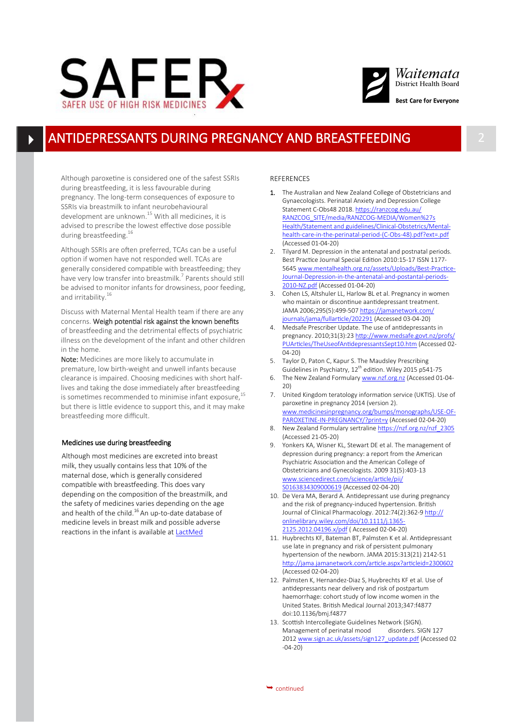



## ANTIDEPRESSANTS DURING PREGNANCY AND BREASTFEEDING 2

Although paroxetine is considered one of the safest SSRIs during breastfeeding, it is less favourable during pregnancy. The long-term consequences of exposure to SSRIs via breastmilk to infant neurobehavioural development are unknown.<sup>15</sup> With all medicines, it is advised to prescribe the lowest effective dose possible during breastfeeding.<sup>16</sup>

Although SSRIs are often preferred, TCAs can be a useful option if women have not responded well. TCAs are generally considered compatible with breastfeeding; they have very low transfer into breastmilk.<sup>7</sup> Parents should still be advised to monitor infants for drowsiness, poor feeding, and irritability.<sup>16</sup>

Discuss with Maternal Mental Health team if there are any concerns. Weigh potential risk against the known benefits of breastfeeding and the detrimental effects of psychiatric illness on the development of the infant and other children in the home.

Note: Medicines are more likely to accumulate in premature, low birth-weight and unwell infants because clearance is impaired. Choosing medicines with short half-Clearance is impaired. Chooding the distribution of the astfeeding<br>lives and taking the dose immediately after breastfeeding is sometimes recommended to minimise infant exposure. but there is little evidence to support this, and it may make breastfeeding more difficult.

#### Medicines use during breastfeeding

Although most medicines are excreted into breast milk, they usually contains less that 10% of the maternal dose, which is generally considered compatible with breastfeeding. This does vary depending on the composition of the breastmilk, and the safety of medicines varies depending on the age and health of the child.<sup>16</sup> An up-to-date database of medicine levels in breast milk and possible adverse reactions in the infant is available at [LactMed](http://www.toxnet.nlm.nih.gov/newtoxnet/lactmed.htm)

#### REFERENCES

- 1. The Australian and New Zealand College of Obstetricians and Gynaecologists. Perinatal Anxiety and Depression College Statement C-Obs48 2018. [https://ranzcog.edu.au/](https://ranzcog.edu.au/RANZCOG_SITE/media/RANZCOG-MEDIA/Women%27s%20Health/Statement%20and%20guidelines/Clinical-Obstetrics/Mental-health-care-in-the-perinatal-period-(C-Obs-48).pdf?ext=.pdf) [RANZCOG\\_SITE/media/RANZCOG](https://ranzcog.edu.au/RANZCOG_SITE/media/RANZCOG-MEDIA/Women%27s%20Health/Statement%20and%20guidelines/Clinical-Obstetrics/Mental-health-care-in-the-perinatal-period-(C-Obs-48).pdf?ext=.pdf)-MEDIA/Women%27s [Health/Statement and guidelines/Clinical](https://ranzcog.edu.au/RANZCOG_SITE/media/RANZCOG-MEDIA/Women%27s%20Health/Statement%20and%20guidelines/Clinical-Obstetrics/Mental-health-care-in-the-perinatal-period-(C-Obs-48).pdf?ext=.pdf)-Obstetrics/Mentalhealth-care-in-the-perinatal-period-(C-Obs-[48\).pdf?ext=.pdf](https://ranzcog.edu.au/RANZCOG_SITE/media/RANZCOG-MEDIA/Women%27s%20Health/Statement%20and%20guidelines/Clinical-Obstetrics/Mental-health-care-in-the-perinatal-period-(C-Obs-48).pdf?ext=.pdf) (Accessed 01-04-20)
- Tilyard M. Depression in the antenatal and postnatal periods. Best Practice Journal Special Edition 2010:15-17 ISSN 1177- 5645 [www.mentalhealth.org.nz/assets/Uploads/Best](http://www.mentalhealth.org.nz/assets/Uploads/Best-Practice-Journal-Depression-in-the-antenatal-and-postantal-periods-2010-NZ.pdf)-Practice-Journal-[Depression](http://www.mentalhealth.org.nz/assets/Uploads/Best-Practice-Journal-Depression-in-the-antenatal-and-postantal-periods-2010-NZ.pdf)-in-the-antenatal-and-postantal-periods-2010-[NZ.pdf](http://www.mentalhealth.org.nz/assets/Uploads/Best-Practice-Journal-Depression-in-the-antenatal-and-postantal-periods-2010-NZ.pdf) (Accessed 01-04-20)
- 3. Cohen LS, Altshuler LL, Harlow BL et al. Pregnancy in women who maintain or discontinue aantidepressant treatment. ...<br>JAMA 2006;295(5):499-507 <u>https://jamanetwork.com/</u> [journals/jama/fullarticle/202291](https://jamanetwork.com/journals/jama/fullarticle/202291) (Accessed 03-04-20)
- 4. Medsafe Prescriber Update. The use of antidepressants in pregnancy. 2010;31(3):23 [http://www.medsafe.govt.nz/profs/](http://www.medsafe.govt.nz/profs/PUArticles/TheUseofAntidepressantsSept10.htm) [PUArticles/TheUseofAntidepressantsSept10.htm](http://www.medsafe.govt.nz/profs/PUArticles/TheUseofAntidepressantsSept10.htm) (Accessed 02- 04-20)
- 5. Taylor D, Paton C, Kapur S. The Maudsley Prescribing Guidelines in Psychiatry, 12<sup>th</sup> edition. Wiley 2015 p541-75
- 6. The New Zealand Formulary [www.nzf.org.nz](http://www.nzf.org.nz) (Accessed 01-04- 20)
- 7. United Kingdom teratology information service (UKTIS). Use of paroxetine in pregnancy 2014 (version 2). [www.medicinesinpregnancy.org/bumps/monographs/USE](http://www.medicinesinpregnancy.org/bumps/monographs/USE-OF-PAROXETINE-IN-PREGNANCY/?print=y)-OF-PAROXETINE-IN-[PREGNANCY/?print=y](http://www.medicinesinpregnancy.org/bumps/monographs/USE-OF-PAROXETINE-IN-PREGNANCY/?print=y) (Accessed 02-04-20)
- 8. New Zealand Formulary sertraline [https://nzf.org.nz/nzf\\_2305](https://nzf.org.nz/nzf_2305) (Accessed 21-05-20)
- Yonkers KA, Wisner KL, Stewart DE et al. The management of depression during pregnancy: a report from the American Psychiatric Association and the American College of Obstetricians and Gynecologists. 2009 31(5):403-13 [www.sciencedirect.com/science/article/pii/](http://www.sciencedirect.com/science/article/pii/S0163834309000619) [S0163834309000619](http://www.sciencedirect.com/science/article/pii/S0163834309000619) (Accessed 02-04-20)
- 10. De Vera MA, Berard A. Antidepressant use during pregnancy and the risk of pregnancy-induced hypertension. British Journal of Clinical Pharmacology. 2012:74(2):362-9 [http://](http://onlinelibrary.wiley.com/doi/10.1111/j.1365-2125.2012.04196.x/pdf) [onlinelibrary.wiley.com/doi/10.1111/j.1365](http://onlinelibrary.wiley.com/doi/10.1111/j.1365-2125.2012.04196.x/pdf)- [2125.2012.04196.x/pdf](http://onlinelibrary.wiley.com/doi/10.1111/j.1365-2125.2012.04196.x/pdf) ( Accessed 02-04-20)
- 11. Huybrechts KF, Bateman BT, Palmsten K et al. Antidepressant use late in pregnancy and risk of persistent pulmonary hypertension of the newborn. JAMA 2015:313(21) 2142-51 <http://jama.jamanetwork.com/article.aspx?articleid=2300602> (Accessed 02-04-20)
- 12. Palmsten K, Hernandez-Diaz S, Huybrechts KF et al. Use of antidepressants near delivery and risk of postpartum haemorrhage: cohort study of low income women in the United States. British Medical Journal 2013;347:f4877 doi:10.1136/bmj.f4877
- 13. Scottish Intercollegiate Guidelines Network (SIGN). Management of perinatal mood disorders. SIGN 127 2012 [www.sign.ac.uk/assets/sign127\\_update.pdf](http://www.sign.ac.uk/assets/sign127_update.pdf) (Accessed 02 -04-20)